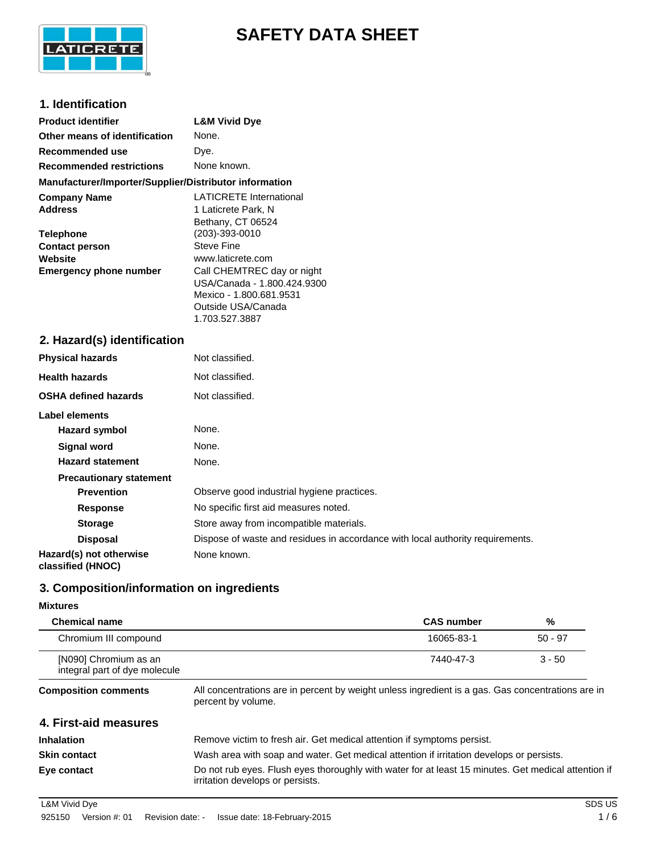

# **SAFETY DATA SHEET**

# **1. Identification**

| <b>Product identifier</b>                                                                                                      | <b>L&amp;M Vivid Dye</b>                                                                                                                                                                                                                      |
|--------------------------------------------------------------------------------------------------------------------------------|-----------------------------------------------------------------------------------------------------------------------------------------------------------------------------------------------------------------------------------------------|
| Other means of identification                                                                                                  | None.                                                                                                                                                                                                                                         |
| Recommended use                                                                                                                | Dye.                                                                                                                                                                                                                                          |
| <b>Recommended restrictions</b>                                                                                                | None known.                                                                                                                                                                                                                                   |
| Manufacturer/Importer/Supplier/Distributor information                                                                         |                                                                                                                                                                                                                                               |
| <b>Company Name</b><br><b>Address</b><br><b>Telephone</b><br><b>Contact person</b><br>Website<br><b>Emergency phone number</b> | <b>LATICRETE International</b><br>1 Laticrete Park, N<br>Bethany, CT 06524<br>(203)-393-0010<br>Steve Fine<br>www.laticrete.com<br>Call CHEMTREC day or night<br>USA/Canada - 1.800.424.9300<br>Mexico - 1.800.681.9531<br>Outside USA/Canada |
|                                                                                                                                | 1.703.527.3887                                                                                                                                                                                                                                |
| 2. Hazard(s) identification                                                                                                    |                                                                                                                                                                                                                                               |
| <b>Physical hazards</b>                                                                                                        | Not classified.                                                                                                                                                                                                                               |
| <b>Health hazards</b>                                                                                                          | Not classified.                                                                                                                                                                                                                               |
| <b>OSHA defined hazards</b>                                                                                                    | Not classified.                                                                                                                                                                                                                               |
| <b>Label elements</b><br><b>Hazard symbol</b>                                                                                  | None.                                                                                                                                                                                                                                         |
|                                                                                                                                |                                                                                                                                                                                                                                               |

| Hazard symbol                                | None.                                                                          |
|----------------------------------------------|--------------------------------------------------------------------------------|
| <b>Signal word</b>                           | None.                                                                          |
| <b>Hazard statement</b>                      | None.                                                                          |
| <b>Precautionary statement</b>               |                                                                                |
| <b>Prevention</b>                            | Observe good industrial hygiene practices.                                     |
| <b>Response</b>                              | No specific first aid measures noted.                                          |
| <b>Storage</b>                               | Store away from incompatible materials.                                        |
| <b>Disposal</b>                              | Dispose of waste and residues in accordance with local authority requirements. |
| Hazard(s) not otherwise<br>classified (HNOC) | None known.                                                                    |

# **3. Composition/information on ingredients**

# **Mixtures**

| <b>Chemical name</b>                                   |                                                                                                                                         | <b>CAS number</b> | %         |
|--------------------------------------------------------|-----------------------------------------------------------------------------------------------------------------------------------------|-------------------|-----------|
| Chromium III compound                                  |                                                                                                                                         | 16065-83-1        | $50 - 97$ |
| [N090] Chromium as an<br>integral part of dye molecule |                                                                                                                                         | 7440-47-3         | $3 - 50$  |
| <b>Composition comments</b>                            | All concentrations are in percent by weight unless ingredient is a gas. Gas concentrations are in<br>percent by volume.                 |                   |           |
| 4. First-aid measures                                  |                                                                                                                                         |                   |           |
| <b>Inhalation</b>                                      | Remove victim to fresh air. Get medical attention if symptoms persist.                                                                  |                   |           |
| <b>Skin contact</b>                                    | Wash area with soap and water. Get medical attention if irritation develops or persists.                                                |                   |           |
| Eye contact                                            | Do not rub eyes. Flush eyes thoroughly with water for at least 15 minutes. Get medical attention if<br>irritation develops or persists. |                   |           |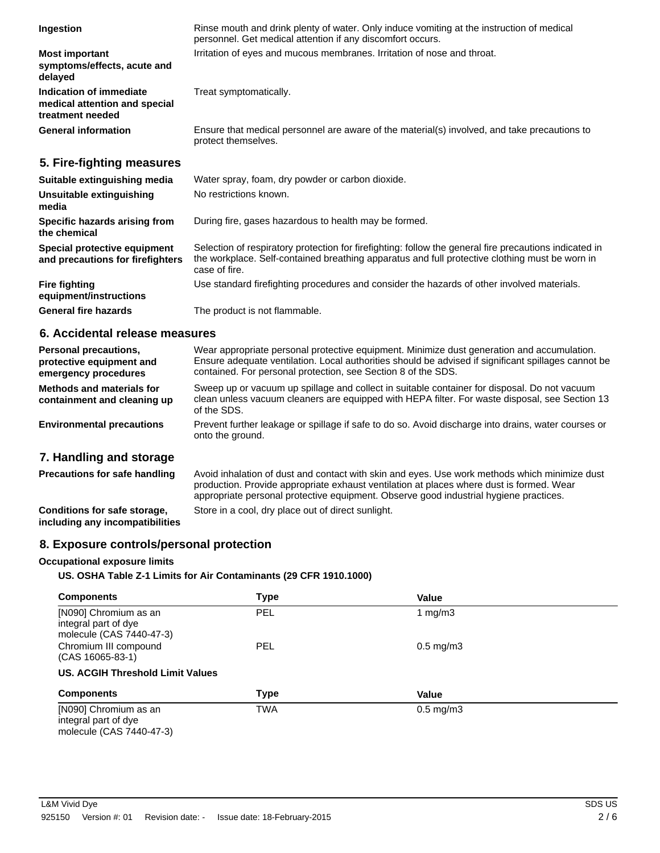| Ingestion                                                                    | Rinse mouth and drink plenty of water. Only induce vomiting at the instruction of medical<br>personnel. Get medical attention if any discomfort occurs.                                                                   |
|------------------------------------------------------------------------------|---------------------------------------------------------------------------------------------------------------------------------------------------------------------------------------------------------------------------|
| <b>Most important</b><br>symptoms/effects, acute and<br>delayed              | Irritation of eyes and mucous membranes. Irritation of nose and throat.                                                                                                                                                   |
| Indication of immediate<br>medical attention and special<br>treatment needed | Treat symptomatically.                                                                                                                                                                                                    |
| <b>General information</b>                                                   | Ensure that medical personnel are aware of the material(s) involved, and take precautions to<br>protect themselves.                                                                                                       |
| 5. Fire-fighting measures                                                    |                                                                                                                                                                                                                           |
| Suitable extinguishing media                                                 | Water spray, foam, dry powder or carbon dioxide.                                                                                                                                                                          |
| Unsuitable extinguishing<br>media                                            | No restrictions known.                                                                                                                                                                                                    |
| Specific hazards arising from<br>the chemical                                | During fire, gases hazardous to health may be formed.                                                                                                                                                                     |
| Special protective equipment<br>and precautions for firefighters             | Selection of respiratory protection for firefighting: follow the general fire precautions indicated in<br>the workplace. Self-contained breathing apparatus and full protective clothing must be worn in<br>case of fire. |
| <b>Fire fighting</b><br>equipment/instructions                               | Use standard firefighting procedures and consider the hazards of other involved materials.                                                                                                                                |
| <b>General fire hazards</b>                                                  | The product is not flammable.                                                                                                                                                                                             |
|                                                                              |                                                                                                                                                                                                                           |

# **6. Accidental release measures**

| <b>Personal precautions,</b><br>protective equipment and<br>emergency procedures | Wear appropriate personal protective equipment. Minimize dust generation and accumulation.<br>Ensure adequate ventilation. Local authorities should be advised if significant spillages cannot be<br>contained. For personal protection, see Section 8 of the SDS. |
|----------------------------------------------------------------------------------|--------------------------------------------------------------------------------------------------------------------------------------------------------------------------------------------------------------------------------------------------------------------|
| <b>Methods and materials for</b><br>containment and cleaning up                  | Sweep up or vacuum up spillage and collect in suitable container for disposal. Do not vacuum<br>clean unless vacuum cleaners are equipped with HEPA filter. For waste disposal, see Section 13<br>of the SDS.                                                      |
| <b>Environmental precautions</b>                                                 | Prevent further leakage or spillage if safe to do so. Avoid discharge into drains, water courses or<br>onto the ground.                                                                                                                                            |
| 7. Handling and storage                                                          |                                                                                                                                                                                                                                                                    |

| <b>Precautions for safe handling</b>                            | Avoid inhalation of dust and contact with skin and eyes. Use work methods which minimize dust<br>production. Provide appropriate exhaust ventilation at places where dust is formed. Wear<br>appropriate personal protective equipment. Observe good industrial hygiene practices. |
|-----------------------------------------------------------------|------------------------------------------------------------------------------------------------------------------------------------------------------------------------------------------------------------------------------------------------------------------------------------|
| Conditions for safe storage,<br>including any incompatibilities | Store in a cool, dry place out of direct sunlight.                                                                                                                                                                                                                                 |

# **8. Exposure controls/personal protection**

### **Occupational exposure limits**

# **US. OSHA Table Z-1 Limits for Air Contaminants (29 CFR 1910.1000)**

| <b>Components</b>                                                         | <b>Type</b> | Value                |  |
|---------------------------------------------------------------------------|-------------|----------------------|--|
| [N090] Chromium as an<br>integral part of dye<br>molecule (CAS 7440-47-3) | <b>PEL</b>  | 1 mg/m $3$           |  |
| Chromium III compound<br>$(CAS 16065-83-1)$                               | <b>PEL</b>  | $0.5 \text{ mg/m}$ 3 |  |
| <b>US. ACGIH Threshold Limit Values</b>                                   |             |                      |  |
| <b>Components</b>                                                         | <b>Type</b> | Value                |  |
| [N090] Chromium as an<br>integral part of dye<br>molecule (CAS 7440-47-3) | <b>TWA</b>  | $0.5 \text{ mg/m}$ 3 |  |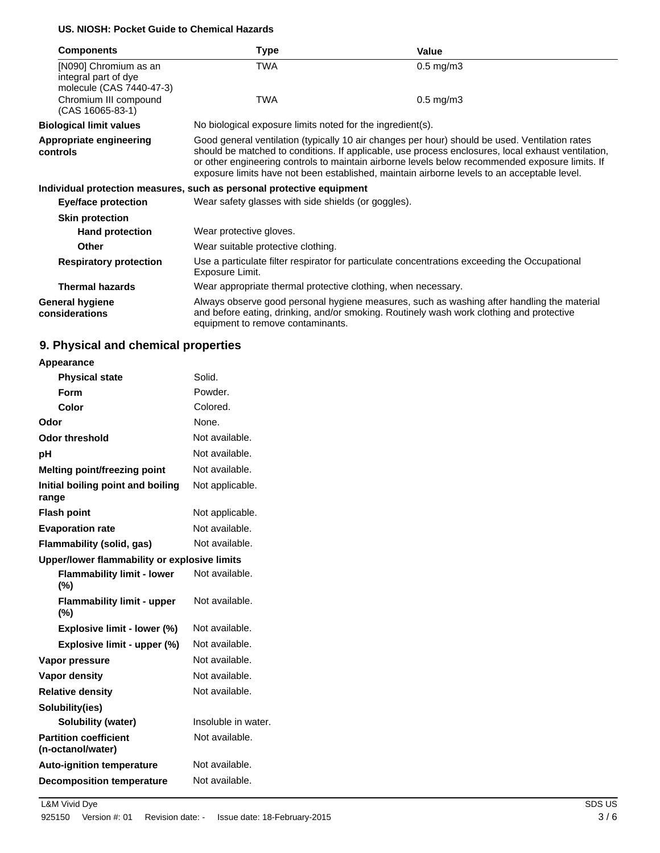## **US. NIOSH: Pocket Guide to Chemical Hazards**

| <b>Components</b>                                                         | Type                                                                  | Value                                                                                                                                                                                                                                                                                                                                                                                                  |
|---------------------------------------------------------------------------|-----------------------------------------------------------------------|--------------------------------------------------------------------------------------------------------------------------------------------------------------------------------------------------------------------------------------------------------------------------------------------------------------------------------------------------------------------------------------------------------|
| [N090] Chromium as an<br>integral part of dye<br>molecule (CAS 7440-47-3) | TWA                                                                   | $0.5 \text{ mg/m}$ 3                                                                                                                                                                                                                                                                                                                                                                                   |
| Chromium III compound<br>(CAS 16065-83-1)                                 | <b>TWA</b>                                                            | $0.5$ mg/m $3$                                                                                                                                                                                                                                                                                                                                                                                         |
| <b>Biological limit values</b>                                            | No biological exposure limits noted for the ingredient(s).            |                                                                                                                                                                                                                                                                                                                                                                                                        |
| <b>Appropriate engineering</b><br>controls                                |                                                                       | Good general ventilation (typically 10 air changes per hour) should be used. Ventilation rates<br>should be matched to conditions. If applicable, use process enclosures, local exhaust ventilation,<br>or other engineering controls to maintain airborne levels below recommended exposure limits. If<br>exposure limits have not been established, maintain airborne levels to an acceptable level. |
|                                                                           | Individual protection measures, such as personal protective equipment |                                                                                                                                                                                                                                                                                                                                                                                                        |
| Eye/face protection                                                       | Wear safety glasses with side shields (or goggles).                   |                                                                                                                                                                                                                                                                                                                                                                                                        |
| <b>Skin protection</b>                                                    |                                                                       |                                                                                                                                                                                                                                                                                                                                                                                                        |
| <b>Hand protection</b>                                                    | Wear protective gloves.                                               |                                                                                                                                                                                                                                                                                                                                                                                                        |
| Other                                                                     | Wear suitable protective clothing.                                    |                                                                                                                                                                                                                                                                                                                                                                                                        |
| <b>Respiratory protection</b>                                             | Exposure Limit.                                                       | Use a particulate filter respirator for particulate concentrations exceeding the Occupational                                                                                                                                                                                                                                                                                                          |
| <b>Thermal hazards</b>                                                    | Wear appropriate thermal protective clothing, when necessary.         |                                                                                                                                                                                                                                                                                                                                                                                                        |
| General hygiene<br>considerations                                         | equipment to remove contaminants.                                     | Always observe good personal hygiene measures, such as washing after handling the material<br>and before eating, drinking, and/or smoking. Routinely wash work clothing and protective                                                                                                                                                                                                                 |

# **9. Physical and chemical properties**

| Appearance |  |
|------------|--|
|            |  |

| <b>Physical state</b>                             | Solid.              |
|---------------------------------------------------|---------------------|
| Form                                              | Powder.             |
| Color                                             | Colored.            |
| Odor                                              | None.               |
| Odor threshold                                    | Not available.      |
| рH                                                | Not available.      |
| <b>Melting point/freezing point</b>               | Not available.      |
| Initial boiling point and boiling<br>range        | Not applicable.     |
| <b>Flash point</b>                                | Not applicable.     |
| <b>Evaporation rate</b>                           | Not available.      |
| Flammability (solid, gas)                         | Not available.      |
| Upper/lower flammability or explosive limits      |                     |
| <b>Flammability limit - lower</b><br>(%)          | Not available.      |
| <b>Flammability limit - upper</b><br>$(\% )$      | Not available.      |
| Explosive limit - lower (%)                       | Not available.      |
| Explosive limit - upper (%)                       | Not available.      |
| Vapor pressure                                    | Not available.      |
| <b>Vapor density</b>                              | Not available.      |
| <b>Relative density</b>                           | Not available.      |
| Solubility(ies)                                   |                     |
| Solubility (water)                                | Insoluble in water. |
| <b>Partition coefficient</b><br>(n-octanol/water) | Not available.      |
| <b>Auto-ignition temperature</b>                  | Not available.      |
| <b>Decomposition temperature</b>                  | Not available.      |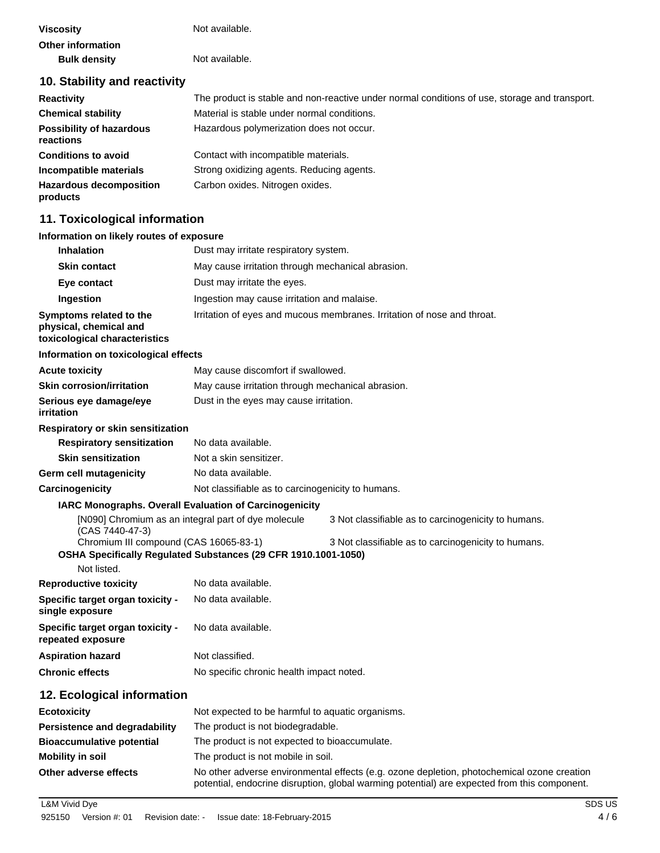| <b>Viscosity</b>                             | Not available.                                                                                |
|----------------------------------------------|-----------------------------------------------------------------------------------------------|
| Other information                            |                                                                                               |
| <b>Bulk density</b>                          | Not available.                                                                                |
| 10. Stability and reactivity                 |                                                                                               |
| <b>Reactivity</b>                            | The product is stable and non-reactive under normal conditions of use, storage and transport. |
| <b>Chemical stability</b>                    | Material is stable under normal conditions.                                                   |
| <b>Possibility of hazardous</b><br>reactions | Hazardous polymerization does not occur.                                                      |
| <b>Conditions to avoid</b>                   | Contact with incompatible materials.                                                          |
| Incompatible materials                       | Strong oxidizing agents. Reducing agents.                                                     |
| <b>Hazardous decomposition</b><br>products   | Carbon oxides. Nitrogen oxides.                                                               |

# **11. Toxicological information**

# **Information on likely routes of exposure**

| <b>Inhalation</b>                                                                  | Dust may irritate respiratory system.                                                                                                                                                      |  |
|------------------------------------------------------------------------------------|--------------------------------------------------------------------------------------------------------------------------------------------------------------------------------------------|--|
| <b>Skin contact</b>                                                                | May cause irritation through mechanical abrasion.                                                                                                                                          |  |
| Eye contact                                                                        | Dust may irritate the eyes.                                                                                                                                                                |  |
| Ingestion                                                                          | Ingestion may cause irritation and malaise.                                                                                                                                                |  |
| Symptoms related to the<br>physical, chemical and<br>toxicological characteristics | Irritation of eyes and mucous membranes. Irritation of nose and throat.                                                                                                                    |  |
| Information on toxicological effects                                               |                                                                                                                                                                                            |  |
| <b>Acute toxicity</b>                                                              | May cause discomfort if swallowed.                                                                                                                                                         |  |
| <b>Skin corrosion/irritation</b>                                                   | May cause irritation through mechanical abrasion.                                                                                                                                          |  |
| Serious eye damage/eye<br>irritation                                               | Dust in the eyes may cause irritation.                                                                                                                                                     |  |
| Respiratory or skin sensitization                                                  |                                                                                                                                                                                            |  |
| <b>Respiratory sensitization</b>                                                   | No data available.                                                                                                                                                                         |  |
| <b>Skin sensitization</b>                                                          | Not a skin sensitizer.                                                                                                                                                                     |  |
| Germ cell mutagenicity                                                             | No data available.                                                                                                                                                                         |  |
| Carcinogenicity                                                                    | Not classifiable as to carcinogenicity to humans.                                                                                                                                          |  |
| IARC Monographs. Overall Evaluation of Carcinogenicity                             |                                                                                                                                                                                            |  |
| (CAS 7440-47-3)                                                                    | [N090] Chromium as an integral part of dye molecule<br>3 Not classifiable as to carcinogenicity to humans.                                                                                 |  |
| Chromium III compound (CAS 16065-83-1)                                             | 3 Not classifiable as to carcinogenicity to humans.<br>OSHA Specifically Regulated Substances (29 CFR 1910.1001-1050)                                                                      |  |
| Not listed.                                                                        |                                                                                                                                                                                            |  |
| <b>Reproductive toxicity</b>                                                       | No data available.                                                                                                                                                                         |  |
| Specific target organ toxicity -<br>single exposure                                | No data available.                                                                                                                                                                         |  |
| Specific target organ toxicity -<br>repeated exposure                              | No data available.                                                                                                                                                                         |  |
| <b>Aspiration hazard</b>                                                           | Not classified.                                                                                                                                                                            |  |
| <b>Chronic effects</b>                                                             | No specific chronic health impact noted.                                                                                                                                                   |  |
| 12. Ecological information                                                         |                                                                                                                                                                                            |  |
| <b>Ecotoxicity</b>                                                                 | Not expected to be harmful to aquatic organisms.                                                                                                                                           |  |
| <b>Persistence and degradability</b>                                               | The product is not biodegradable.                                                                                                                                                          |  |
| <b>Bioaccumulative potential</b>                                                   | The product is not expected to bioaccumulate.                                                                                                                                              |  |
| <b>Mobility in soil</b>                                                            | The product is not mobile in soil.                                                                                                                                                         |  |
| Other adverse effects                                                              | No other adverse environmental effects (e.g. ozone depletion, photochemical ozone creation<br>potential, endocrine disruption, global warming potential) are expected from this component. |  |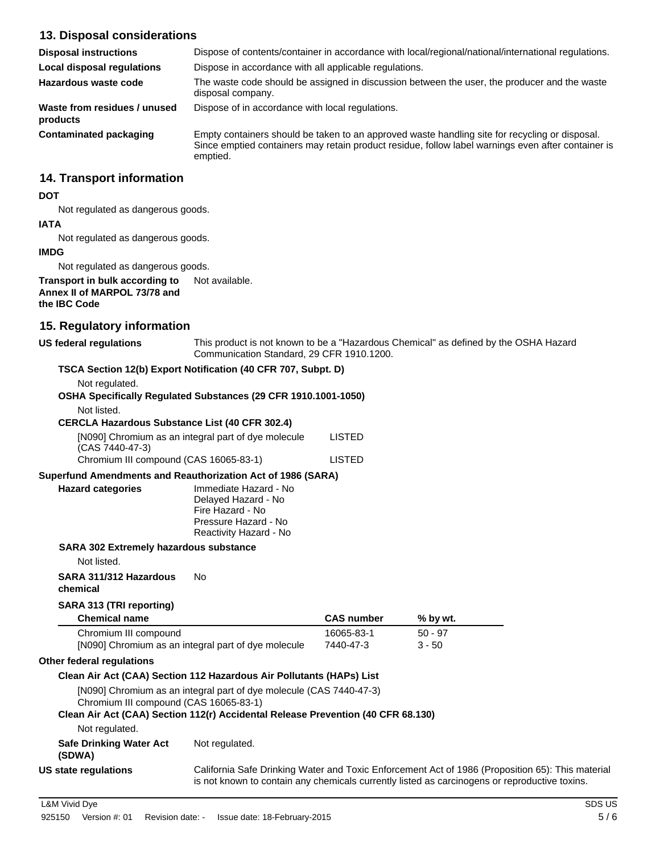# **13. Disposal considerations**

| <b>Disposal instructions</b>             | Dispose of contents/container in accordance with local/regional/national/international regulations.                                                                                                              |
|------------------------------------------|------------------------------------------------------------------------------------------------------------------------------------------------------------------------------------------------------------------|
| <b>Local disposal regulations</b>        | Dispose in accordance with all applicable regulations.                                                                                                                                                           |
| Hazardous waste code                     | The waste code should be assigned in discussion between the user, the producer and the waste<br>disposal company.                                                                                                |
| Waste from residues / unused<br>products | Dispose of in accordance with local regulations.                                                                                                                                                                 |
| Contaminated packaging                   | Empty containers should be taken to an approved waste handling site for recycling or disposal.<br>Since emptied containers may retain product residue, follow label warnings even after container is<br>emptied. |

# **14. Transport information**

### **DOT**

Not regulated as dangerous goods.

### **IATA**

Not regulated as dangerous goods.

### **IMDG**

Not regulated as dangerous goods.

### **Transport in bulk according to** Not available. **Annex II of MARPOL 73/78 and the IBC Code**

# **15. Regulatory information**

**US federal regulations** This product is not known to be a "Hazardous Chemical" as defined by the OSHA Hazard Communication Standard, 29 CFR 1910.1200.

# **TSCA Section 12(b) Export Notification (40 CFR 707, Subpt. D)**

Not regulated.

| OSHA Specifically Regulated Substances (29 CFR 1910.1001-1050) |  |
|----------------------------------------------------------------|--|
|----------------------------------------------------------------|--|

### Not listed.

### **CERCLA Hazardous Substance List (40 CFR 302.4)**

| [N090] Chromium as an integral part of dye molecule | LISTED |
|-----------------------------------------------------|--------|
| (CAS 7440-47-3)                                     |        |
| Chromium III compound (CAS 16065-83-1)              | LISTED |

## **Superfund Amendments and Reauthorization Act of 1986 (SARA)**

| <b>Hazard categories</b>                      | Immediate Hazard - No<br>Delayed Hazard - No   |
|-----------------------------------------------|------------------------------------------------|
|                                               | Fire Hazard - No                               |
|                                               | Pressure Hazard - No<br>Reactivity Hazard - No |
| <b>SARA 302 Extremely hazardous substance</b> |                                                |

Not listed.

### **SARA 311/312 Hazardous** No

**chemical**

## **SARA 313 (TRI reporting)**

| <b>Chemical name</b>                                | <b>CAS</b> number | % by wt. |  |
|-----------------------------------------------------|-------------------|----------|--|
| Chromium III compound                               | 16065-83-1        | 50 - 97  |  |
| [N090] Chromium as an integral part of dye molecule | 7440-47-3         | $3 - 50$ |  |

### **Other federal regulations**

## **Clean Air Act (CAA) Section 112 Hazardous Air Pollutants (HAPs) List**

[N090] Chromium as an integral part of dye molecule (CAS 7440-47-3) Chromium III compound (CAS 16065-83-1)

Not regulated.

# **Clean Air Act (CAA) Section 112(r) Accidental Release Prevention (40 CFR 68.130)**

Not regulated.

**Safe Drinking Water Act**

**(SDWA) US state regulations** California Safe Drinking Water and Toxic Enforcement Act of 1986 (Proposition 65): This material is not known to contain any chemicals currently listed as carcinogens or reproductive toxins.